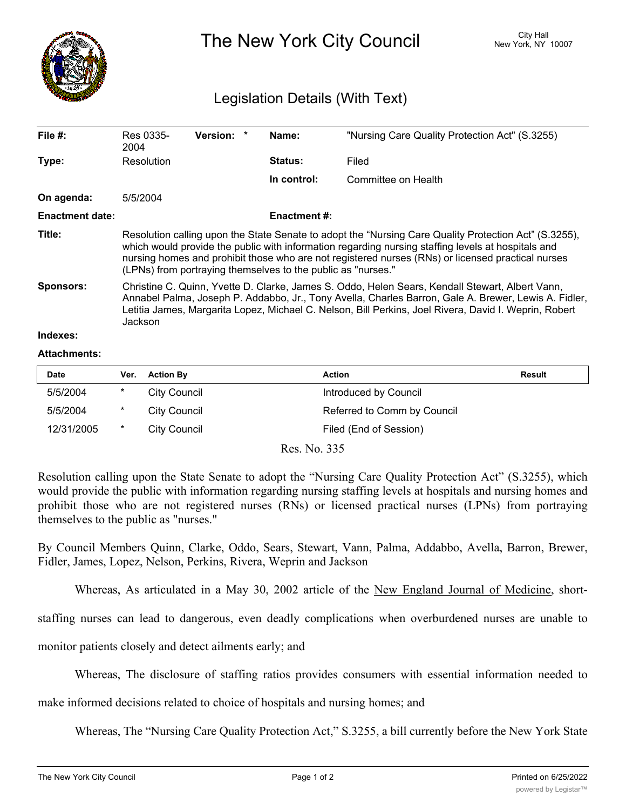

The New York City Council New York, NY 10007

## Legislation Details (With Text)

| File $#$ :             | Res 0335-<br>2004                                                                                                                                                                                                                                                                                                                                                                | <b>Version:</b> | Name:               | "Nursing Care Quality Protection Act" (S.3255) |  |  |
|------------------------|----------------------------------------------------------------------------------------------------------------------------------------------------------------------------------------------------------------------------------------------------------------------------------------------------------------------------------------------------------------------------------|-----------------|---------------------|------------------------------------------------|--|--|
| Type:                  | Resolution                                                                                                                                                                                                                                                                                                                                                                       |                 | <b>Status:</b>      | Filed                                          |  |  |
|                        |                                                                                                                                                                                                                                                                                                                                                                                  |                 | In control:         | Committee on Health                            |  |  |
| On agenda:             | 5/5/2004                                                                                                                                                                                                                                                                                                                                                                         |                 |                     |                                                |  |  |
| <b>Enactment date:</b> |                                                                                                                                                                                                                                                                                                                                                                                  |                 | <b>Enactment #:</b> |                                                |  |  |
| Title:                 | Resolution calling upon the State Senate to adopt the "Nursing Care Quality Protection Act" (S.3255),<br>which would provide the public with information regarding nursing staffing levels at hospitals and<br>nursing homes and prohibit those who are not registered nurses (RNs) or licensed practical nurses<br>(LPNs) from portraying themselves to the public as "nurses." |                 |                     |                                                |  |  |
| <b>Sponsors:</b>       | Christine C. Quinn, Yvette D. Clarke, James S. Oddo, Helen Sears, Kendall Stewart, Albert Vann,<br>Annabel Palma, Joseph P. Addabbo, Jr., Tony Avella, Charles Barron, Gale A. Brewer, Lewis A. Fidler,<br>Letitia James, Margarita Lopez, Michael C. Nelson, Bill Perkins, Joel Rivera, David I. Weprin, Robert<br>Jackson                                                      |                 |                     |                                                |  |  |
| Indexes:               |                                                                                                                                                                                                                                                                                                                                                                                  |                 |                     |                                                |  |  |

## **Attachments:**

| <b>Date</b> | Ver.   | <b>Action By</b> | Action                      | <b>Result</b> |
|-------------|--------|------------------|-----------------------------|---------------|
| 5/5/2004    | *      | City Council     | Introduced by Council       |               |
| 5/5/2004    | $\ast$ | City Council     | Referred to Comm by Council |               |
| 12/31/2005  | $\ast$ | City Council     | Filed (End of Session)      |               |

Res. No. 335

Resolution calling upon the State Senate to adopt the "Nursing Care Quality Protection Act" (S.3255), which would provide the public with information regarding nursing staffing levels at hospitals and nursing homes and prohibit those who are not registered nurses (RNs) or licensed practical nurses (LPNs) from portraying themselves to the public as "nurses."

By Council Members Quinn, Clarke, Oddo, Sears, Stewart, Vann, Palma, Addabbo, Avella, Barron, Brewer, Fidler, James, Lopez, Nelson, Perkins, Rivera, Weprin and Jackson

Whereas, As articulated in a May 30, 2002 article of the New England Journal of Medicine, short-

staffing nurses can lead to dangerous, even deadly complications when overburdened nurses are unable to

monitor patients closely and detect ailments early; and

Whereas, The disclosure of staffing ratios provides consumers with essential information needed to

make informed decisions related to choice of hospitals and nursing homes; and

Whereas, The "Nursing Care Quality Protection Act," S.3255, a bill currently before the New York State